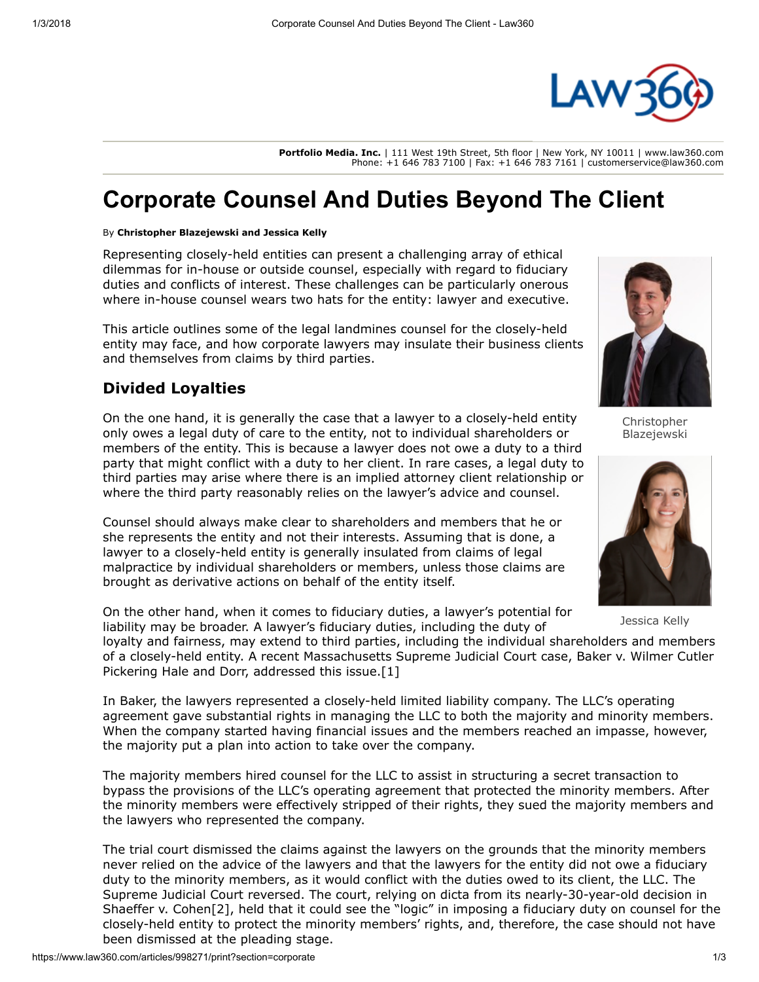

**Portfolio Media. Inc.** | 111 West 19th Street, 5th floor | New York, NY 10011 |<www.law360.com> Phone: +1 646 783 7100 | Fax: +1 646 783 7161 | [customerservice@law360.com](mailto:customerservice@law360.com)

# Corporate Counsel And Duties Beyond The Client

#### By Christopher Blazejewski and Jessica Kelly

Representing closely-held entities can present a challenging array of ethical dilemmas for in-house or outside counsel, especially with regard to fiduciary duties and conflicts of interest. These challenges can be particularly onerous where in-house counsel wears two hats for the entity: lawyer and executive.

This article outlines some of the legal landmines counsel for the closely-held entity may face, and how corporate lawyers may insulate their business clients and themselves from claims by third parties.

### Divided Loyalties

On the one hand, it is generally the case that a lawyer to a closely-held entity only owes a legal duty of care to the entity, not to individual shareholders or members of the entity. This is because a lawyer does not owe a duty to a third party that might conflict with a duty to her client. In rare cases, a legal duty to third parties may arise where there is an implied attorney client relationship or where the third party reasonably relies on the lawyer's advice and counsel.

Counsel should always make clear to shareholders and members that he or she represents the entity and not their interests. Assuming that is done, a lawyer to a closely-held entity is generally insulated from claims of legal malpractice by individual shareholders or members, unless those claims are brought as derivative actions on behalf of the entity itself.



Christopher Blazejewski



Jessica Kelly

On the other hand, when it comes to fiduciary duties, a lawyer's potential for liability may be broader. A lawyer's fiduciary duties, including the duty of

loyalty and fairness, may extend to third parties, including the individual shareholders and members [of a closely-held entity. A recent Massachusetts Supreme Judicial Court case, Baker v. Wilmer Cutler](https://www.law360.com/firms/wilmerhale) Pickering Hale and Dorr, addressed this issue.[1]

In Baker, the lawyers represented a closely-held limited liability company. The LLC's operating agreement gave substantial rights in managing the LLC to both the majority and minority members. When the company started having financial issues and the members reached an impasse, however, the majority put a plan into action to take over the company.

The majority members hired counsel for the LLC to assist in structuring a secret transaction to bypass the provisions of the LLC's operating agreement that protected the minority members. After the minority members were effectively stripped of their rights, they sued the majority members and the lawyers who represented the company.

The trial court dismissed the claims against the lawyers on the grounds that the minority members never relied on the advice of the lawyers and that the lawyers for the entity did not owe a fiduciary duty to the minority members, as it would conflict with the duties owed to its client, the LLC. The Supreme Judicial Court reversed. The court, relying on dicta from its nearly-30-year-old decision in Shaeffer v. Cohen[2], held that it could see the "logic" in imposing a fiduciary duty on counsel for the closely-held entity to protect the minority members' rights, and, therefore, the case should not have been dismissed at the pleading stage.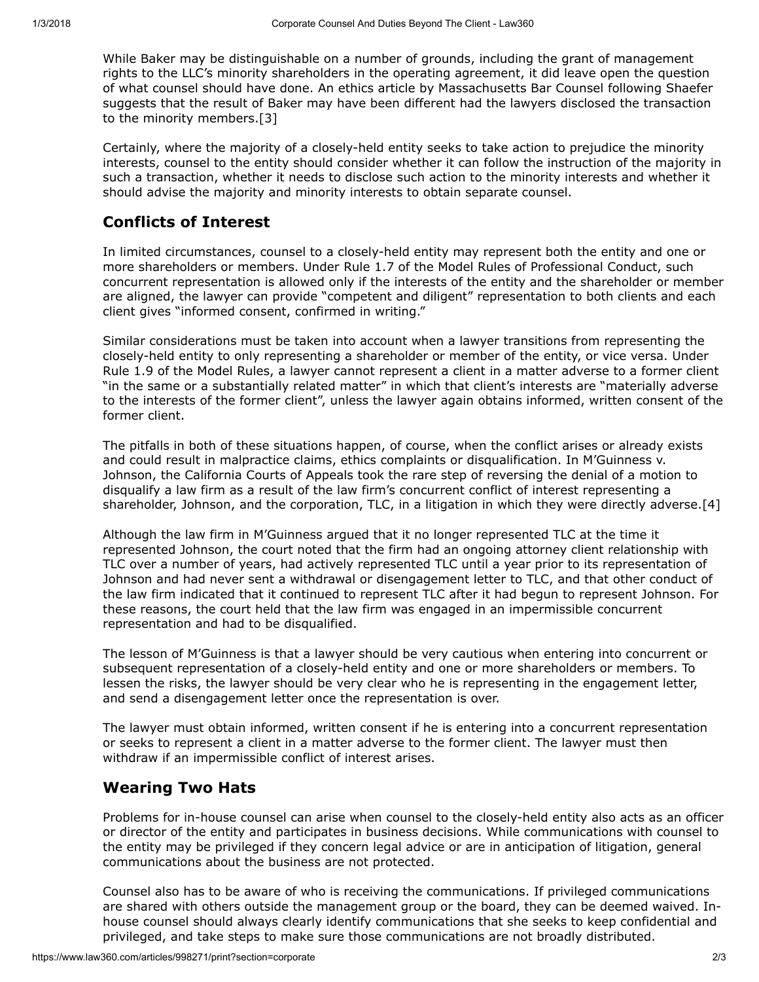While Baker may be distinguishable on a number of grounds, including the grant of management rights to the LLC's minority shareholders in the operating agreement, it did leave open the question of what counsel should have done. An ethics article by Massachusetts Bar Counsel following Shaefer suggests that the result of Baker may have been different had the lawyers disclosed the transaction to the minority members.[3]

Certainly, where the majority of a closely-held entity seeks to take action to prejudice the minority interests, counsel to the entity should consider whether it can follow the instruction of the majority in such a transaction, whether it needs to disclose such action to the minority interests and whether it should advise the majority and minority interests to obtain separate counsel.

## Conflicts of Interest

In limited circumstances, counsel to a closely-held entity may represent both the entity and one or more shareholders or members. Under Rule 1.7 of the Model Rules of Professional Conduct, such concurrent representation is allowed only if the interests of the entity and the shareholder or member are aligned, the lawyer can provide "competent and diligent" representation to both clients and each client gives "informed consent, confirmed in writing."

Similar considerations must be taken into account when a lawyer transitions from representing the closely-held entity to only representing a shareholder or member of the entity, or vice versa. Under Rule 1.9 of the Model Rules, a lawyer cannot represent a client in a matter adverse to a former client "in the same or a substantially related matter" in which that client's interests are "materially adverse to the interests of the former client", unless the lawyer again obtains informed, written consent of the former client.

The pitfalls in both of these situations happen, of course, when the conflict arises or already exists and could result in malpractice claims, ethics complaints or disqualification. In M'Guinness v. Johnson, the California Courts of Appeals took the rare step of reversing the denial of a motion to disqualify a law firm as a result of the law firm's concurrent conflict of interest representing a shareholder, Johnson, and the corporation, TLC, in a litigation in which they were directly adverse.[4]

Although the law firm in M'Guinness argued that it no longer represented TLC at the time it represented Johnson, the court noted that the firm had an ongoing attorney client relationship with TLC over a number of years, had actively represented TLC until a year prior to its representation of Johnson and had never sent a withdrawal or disengagement letter to TLC, and that other conduct of the law firm indicated that it continued to represent TLC after it had begun to represent Johnson. For these reasons, the court held that the law firm was engaged in an impermissible concurrent representation and had to be disqualified.

The lesson of M'Guinness is that a lawyer should be very cautious when entering into concurrent or subsequent representation of a closely-held entity and one or more shareholders or members. To lessen the risks, the lawyer should be very clear who he is representing in the engagement letter, and send a disengagement letter once the representation is over.

The lawyer must obtain informed, written consent if he is entering into a concurrent representation or seeks to represent a client in a matter adverse to the former client. The lawyer must then withdraw if an impermissible conflict of interest arises.

### Wearing Two Hats

Problems for in-house counsel can arise when counsel to the closely-held entity also acts as an officer or director of the entity and participates in business decisions. While communications with counsel to the entity may be privileged if they concern legal advice or are in anticipation of litigation, general communications about the business are not protected.

Counsel also has to be aware of who is receiving the communications. If privileged communications are shared with others outside the management group or the board, they can be deemed waived. Inhouse counsel should always clearly identify communications that she seeks to keep confidential and privileged, and take steps to make sure those communications are not broadly distributed.